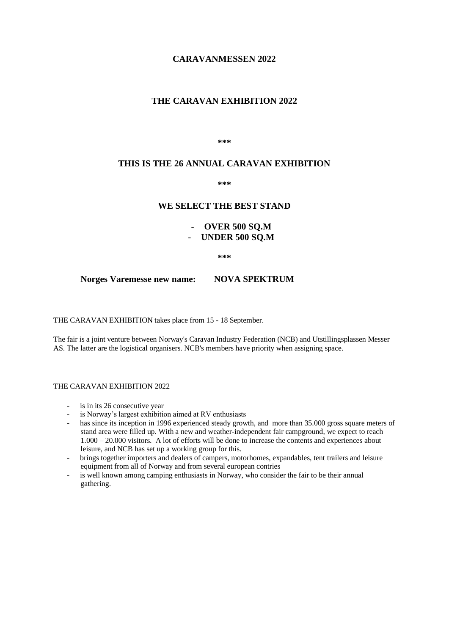## **CARAVANMESSEN 2022**

# **THE CARAVAN EXHIBITION 2022**

**\*\*\***

## **THIS IS THE 26 ANNUAL CARAVAN EXHIBITION**

**\*\*\***

## **WE SELECT THE BEST STAND**

# - **OVER 500 SQ.M** - **UNDER 500 SQ.M**

**\*\*\***

**Norges Varemesse new name: NOVA SPEKTRUM**

THE CARAVAN EXHIBITION takes place from 15 - 18 September.

The fair is a joint venture between Norway's Caravan Industry Federation (NCB) and Utstillingsplassen Messer AS. The latter are the logistical organisers. NCB's members have priority when assigning space.

### THE CARAVAN EXHIBITION 2022

- is in its 26 consecutive year
- is Norway's largest exhibition aimed at RV enthusiasts
- has since its inception in 1996 experienced steady growth, and more than 35.000 gross square meters of stand area were filled up. With a new and weather-independent fair campground, we expect to reach 1.000 – 20.000 visitors. A lot of efforts will be done to increase the contents and experiences about leisure, and NCB has set up a working group for this.
- brings together importers and dealers of campers, motorhomes, expandables, tent trailers and leisure equipment from all of Norway and from several european contries
- is well known among camping enthusiasts in Norway, who consider the fair to be their annual gathering.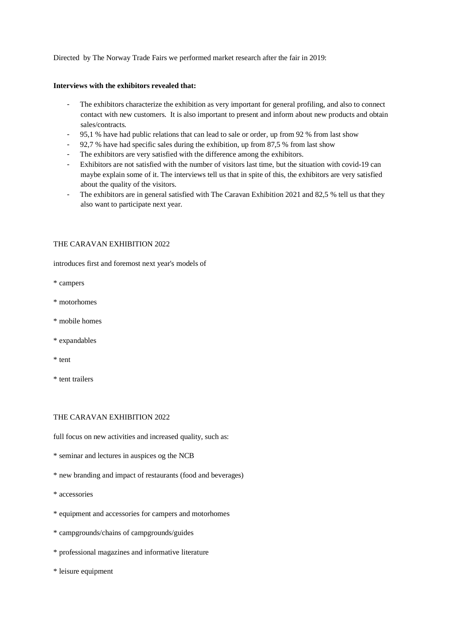Directed by The Norway Trade Fairs we performed market research after the fair in 2019:

#### **Interviews with the exhibitors revealed that:**

- The exhibitors characterize the exhibition as very important for general profiling, and also to connect contact with new customers. It is also important to present and inform about new products and obtain sales/contracts.
- 95,1 % have had public relations that can lead to sale or order, up from 92 % from last show
- 92,7 % have had specific sales during the exhibition, up from 87,5 % from last show
- The exhibitors are very satisfied with the difference among the exhibitors.
- Exhibitors are not satisfied with the number of visitors last time, but the situation with covid-19 can maybe explain some of it. The interviews tell us that in spite of this, the exhibitors are very satisfied about the quality of the visitors.
- The exhibitors are in general satisfied with The Caravan Exhibition 2021 and 82,5 % tell us that they also want to participate next year.

#### THE CARAVAN EXHIBITION 2022

introduces first and foremost next year's models of

\* campers

- \* motorhomes
- \* mobile homes
- \* expandables
- \* tent
- \* tent trailers

### THE CARAVAN EXHIBITION 2022

full focus on new activities and increased quality, such as:

- \* seminar and lectures in auspices og the NCB
- \* new branding and impact of restaurants (food and beverages)
- \* accessories
- \* equipment and accessories for campers and motorhomes
- \* campgrounds/chains of campgrounds/guides
- \* professional magazines and informative literature
- \* leisure equipment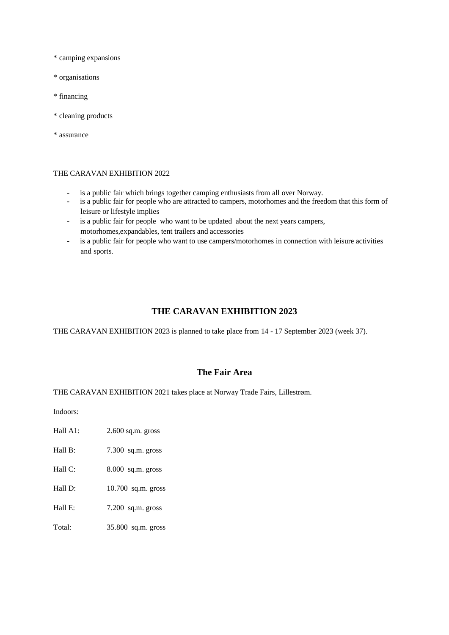\* camping expansions

- \* organisations
- \* financing
- \* cleaning products

\* assurance

#### THE CARAVAN EXHIBITION 2022

- is a public fair which brings together camping enthusiasts from all over Norway.
- is a public fair for people who are attracted to campers, motorhomes and the freedom that this form of leisure or lifestyle implies
- is a public fair for people who want to be updated about the next years campers, motorhomes,expandables, tent trailers and accessories
- is a public fair for people who want to use campers/motorhomes in connection with leisure activities and sports.

### **THE CARAVAN EXHIBITION 2023**

THE CARAVAN EXHIBITION 2023 is planned to take place from 14 - 17 September 2023 (week 37).

## **The Fair Area**

THE CARAVAN EXHIBITION 2021 takes place at Norway Trade Fairs, Lillestrøm.

Indoors:

- Hall A1: 2.600 sq.m. gross
- Hall B: 7.300 sq.m. gross
- Hall C: 8.000 sq.m. gross
- Hall D: 10.700 sq.m. gross
- Hall E:  $7.200$  sq.m. gross
- Total: 35.800 sq.m. gross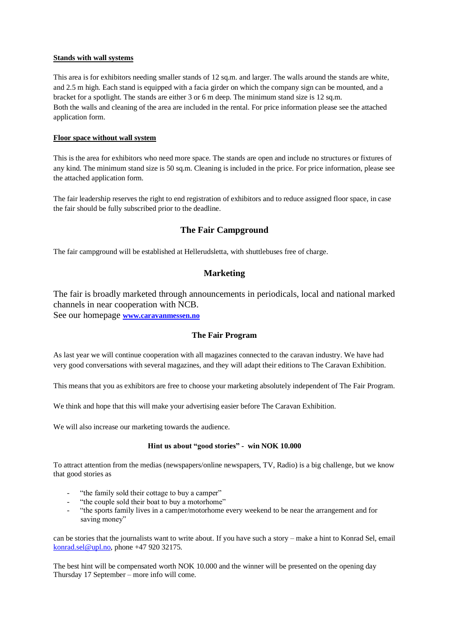### **Stands with wall systems**

This area is for exhibitors needing smaller stands of 12 sq.m. and larger. The walls around the stands are white, and 2.5 m high. Each stand is equipped with a facia girder on which the company sign can be mounted, and a bracket for a spotlight. The stands are either 3 or 6 m deep. The minimum stand size is 12 sq.m. Both the walls and cleaning of the area are included in the rental. For price information please see the attached application form.

### **Floor space without wall system**

This is the area for exhibitors who need more space. The stands are open and include no structures or fixtures of any kind. The minimum stand size is 50 sq.m. Cleaning is included in the price. For price information, please see the attached application form.

The fair leadership reserves the right to end registration of exhibitors and to reduce assigned floor space, in case the fair should be fully subscribed prior to the deadline.

# **The Fair Campground**

The fair campground will be established at Hellerudsletta, with shuttlebuses free of charge.

# **Marketing**

The fair is broadly marketed through announcements in periodicals, local and national marked channels in near cooperation with NCB. See our homepage **[www.caravanmessen.no](http://www.caravanmessen.no/)**

## **The Fair Program**

As last year we will continue cooperation with all magazines connected to the caravan industry. We have had very good conversations with several magazines, and they will adapt their editions to The Caravan Exhibition.

This means that you as exhibitors are free to choose your marketing absolutely independent of The Fair Program.

We think and hope that this will make your advertising easier before The Caravan Exhibition.

We will also increase our marketing towards the audience.

#### **Hint us about "good stories" - win NOK 10.000**

To attract attention from the medias (newspapers/online newspapers, TV, Radio) is a big challenge, but we know that good stories as

- "the family sold their cottage to buy a camper"
- "the couple sold their boat to buy a motorhome"
- "the sports family lives in a camper/motorhome every weekend to be near the arrangement and for saving money"

can be stories that the journalists want to write about. If you have such a story – make a hint to Konrad Sel, email [konrad.sel@upl.no,](mailto:konrad.sel@upl.no) phone +47 920 32175.

The best hint will be compensated worth NOK 10.000 and the winner will be presented on the opening day Thursday 17 September – more info will come.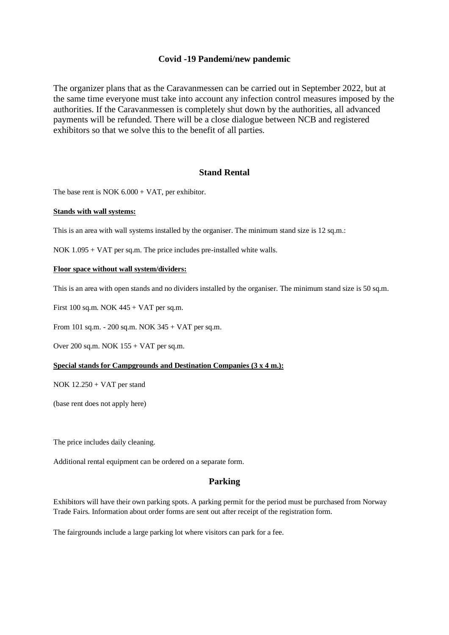# **Covid -19 Pandemi/new pandemic**

The organizer plans that as the Caravanmessen can be carried out in September 2022, but at the same time everyone must take into account any infection control measures imposed by the authorities. If the Caravanmessen is completely shut down by the authorities, all advanced payments will be refunded. There will be a close dialogue between NCB and registered exhibitors so that we solve this to the benefit of all parties.

# **Stand Rental**

The base rent is NOK  $6.000 + \text{VAT}$ , per exhibitor.

#### **Stands with wall systems:**

This is an area with wall systems installed by the organiser. The minimum stand size is 12 sq.m.:

NOK 1.095 + VAT per sq.m. The price includes pre-installed white walls.

#### **Floor space without wall system/dividers:**

This is an area with open stands and no dividers installed by the organiser. The minimum stand size is 50 sq.m.

First 100 sq.m. NOK 445 + VAT per sq.m.

From 101 sq.m. - 200 sq.m. NOK 345 + VAT per sq.m.

Over 200 sq.m. NOK 155 + VAT per sq.m.

#### **Special stands for Campgrounds and Destination Companies (3 x 4 m.):**

NOK 12.250 + VAT per stand

(base rent does not apply here)

The price includes daily cleaning.

Additional rental equipment can be ordered on a separate form.

## **Parking**

Exhibitors will have their own parking spots. A parking permit for the period must be purchased from Norway Trade Fairs. Information about order forms are sent out after receipt of the registration form.

The fairgrounds include a large parking lot where visitors can park for a fee.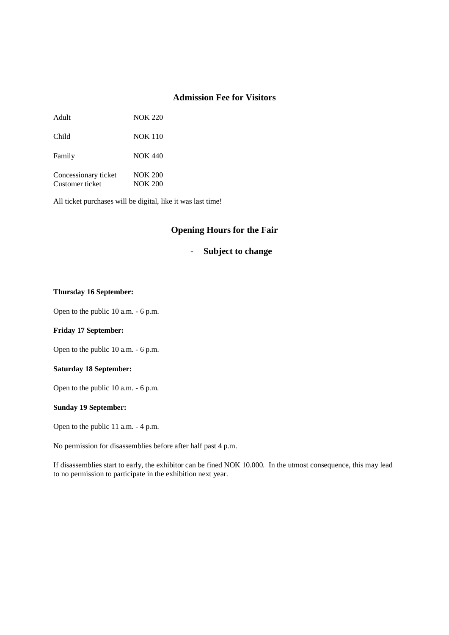# **Admission Fee for Visitors**

Adult NOK 220

Child NOK 110

Family NOK 440

Concessionary ticket NOK 200 Customer ticket NOK 200

All ticket purchases will be digital, like it was last time!

# **Opening Hours for the Fair**

## - **Subject to change**

#### **Thursday 16 September:**

Open to the public 10 a.m. - 6 p.m.

### **Friday 17 September:**

Open to the public 10 a.m. - 6 p.m.

### **Saturday 18 September:**

Open to the public 10 a.m. - 6 p.m.

#### **Sunday 19 September:**

Open to the public 11 a.m. - 4 p.m.

No permission for disassemblies before after half past 4 p.m.

If disassemblies start to early, the exhibitor can be fined NOK 10.000. In the utmost consequence, this may lead to no permission to participate in the exhibition next year.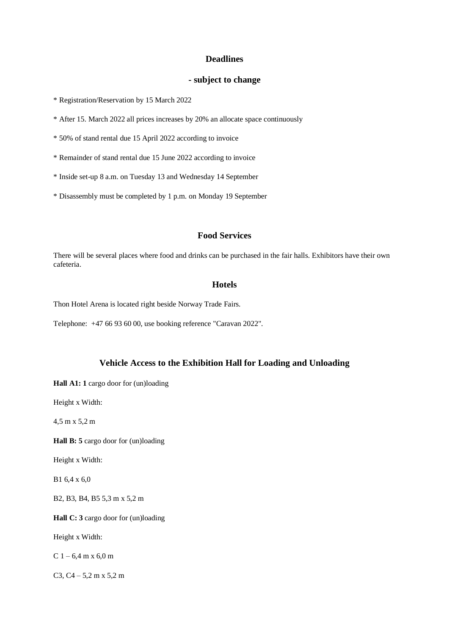## **Deadlines**

## **- subject to change**

\* Registration/Reservation by 15 March 2022

\* After 15. March 2022 all prices increases by 20% an allocate space continuously

\* 50% of stand rental due 15 April 2022 according to invoice

\* Remainder of stand rental due 15 June 2022 according to invoice

\* Inside set-up 8 a.m. on Tuesday 13 and Wednesday 14 September

\* Disassembly must be completed by 1 p.m. on Monday 19 September

# **Food Services**

There will be several places where food and drinks can be purchased in the fair halls. Exhibitors have their own cafeteria.

### **Hotels**

Thon Hotel Arena is located right beside Norway Trade Fairs.

Telephone: +47 66 93 60 00, use booking reference "Caravan 2022".

# **Vehicle Access to the Exhibition Hall for Loading and Unloading**

**Hall A1: 1** cargo door for (un)loading

Height x Width:

4,5 m x 5,2 m

**Hall B: 5** cargo door for (un)loading

Height x Width:

B1 6,4 x 6,0

B2, B3, B4, B5 5,3 m x 5,2 m

**Hall C: 3** cargo door for (un)loading

Height x Width:

C  $1 - 6,4$  m x  $6,0$  m

C3, C4 – 5,2 m x 5,2 m